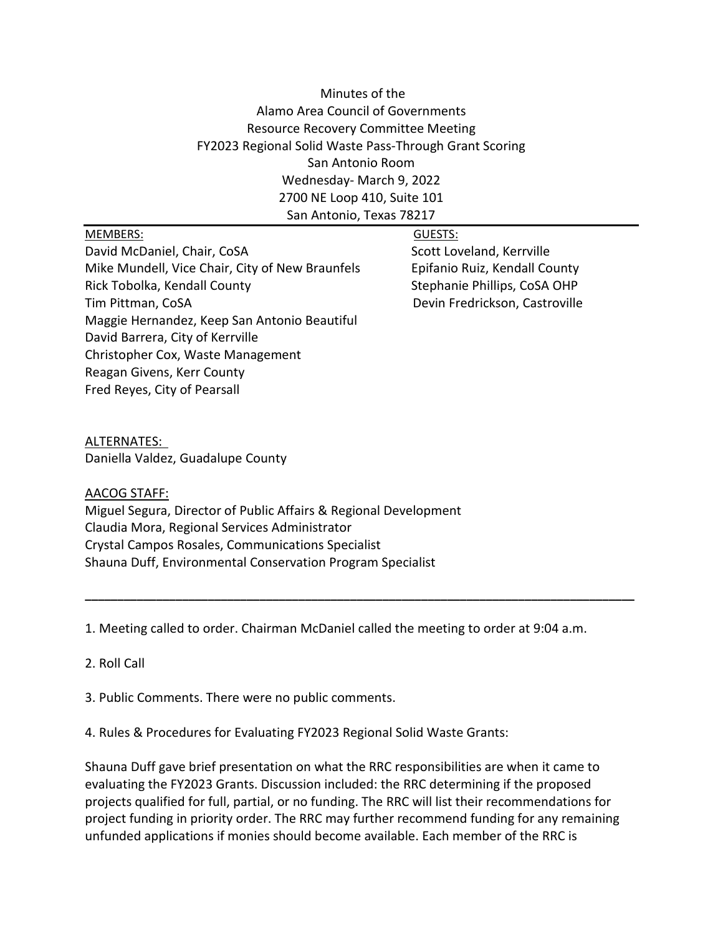# Minutes of the Alamo Area Council of Governments Resource Recovery Committee Meeting FY2023 Regional Solid Waste Pass-Through Grant Scoring San Antonio Room Wednesday- March 9, 2022 2700 NE Loop 410, Suite 101 San Antonio, Texas 78217

#### MEMBERS: GUESTS:

David McDaniel, Chair, CoSA Scott Loveland, Kerrville Mike Mundell, Vice Chair, City of New Braunfels **Epifanio Ruiz, Kendall County** Rick Tobolka, Kendall County Stephanie Phillips, CoSA OHP Tim Pittman, CoSA Devin Fredrickson, Castroville Maggie Hernandez, Keep San Antonio Beautiful David Barrera, City of Kerrville Christopher Cox, Waste Management Reagan Givens, Kerr County Fred Reyes, City of Pearsall

# ALTERNATES:

Daniella Valdez, Guadalupe County

## AACOG STAFF:

Miguel Segura, Director of Public Affairs & Regional Development Claudia Mora, Regional Services Administrator Crystal Campos Rosales, Communications Specialist Shauna Duff, Environmental Conservation Program Specialist

1. Meeting called to order. Chairman McDaniel called the meeting to order at 9:04 a.m.

**\_\_\_\_\_\_\_\_\_\_\_\_\_\_\_\_\_\_\_\_\_\_\_\_\_\_\_\_\_\_\_\_\_\_\_\_\_\_\_\_\_\_\_\_\_\_\_\_\_\_\_\_\_\_\_\_\_\_\_\_\_\_\_\_\_\_\_\_\_\_\_\_\_\_\_\_\_\_\_\_\_\_\_\_\_**

#### 2. Roll Call

3. Public Comments. There were no public comments.

4. Rules & Procedures for Evaluating FY2023 Regional Solid Waste Grants:

Shauna Duff gave brief presentation on what the RRC responsibilities are when it came to evaluating the FY2023 Grants. Discussion included: the RRC determining if the proposed projects qualified for full, partial, or no funding. The RRC will list their recommendations for project funding in priority order. The RRC may further recommend funding for any remaining unfunded applications if monies should become available. Each member of the RRC is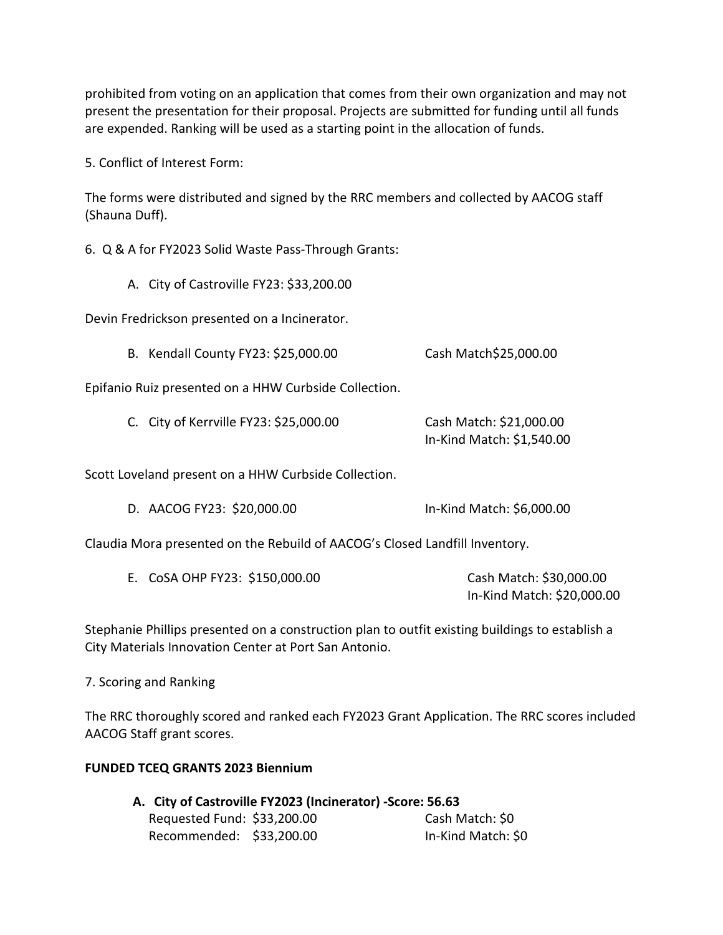prohibited from voting on an application that comes from their own organization and may not present the presentation for their proposal. Projects are submitted for funding until all funds are expended. Ranking will be used as a starting point in the allocation of funds.

5. Conflict of Interest Form:

The forms were distributed and signed by the RRC members and collected by AACOG staff (Shauna Duff).

6. Q & A for FY2023 Solid Waste Pass-Through Grants:

A. City of Castroville FY23: \$33,200.00

Devin Fredrickson presented on a Incinerator.

B. Kendall County FY23: \$25,000.00 Cash Match\$25,000.00

Epifanio Ruiz presented on a HHW Curbside Collection.

C. City of Kerrville FY23: \$25,000.00 Cash Match: \$21,000.00 In-Kind Match: \$1,540.00

Scott Loveland present on a HHW Curbside Collection.

D. AACOG FY23: \$20,000.00 In-Kind Match: \$6,000.00

Claudia Mora presented on the Rebuild of AACOG's Closed Landfill Inventory.

| E. CoSA OHP FY23: \$150,000.00 | Cash Match: \$30,000.00    |
|--------------------------------|----------------------------|
|                                | In-Kind Match: \$20,000.00 |

Stephanie Phillips presented on a construction plan to outfit existing buildings to establish a City Materials Innovation Center at Port San Antonio.

#### 7. Scoring and Ranking

The RRC thoroughly scored and ranked each FY2023 Grant Application. The RRC scores included AACOG Staff grant scores.

## **FUNDED TCEQ GRANTS 2023 Biennium**

**A. City of Castroville FY2023 (Incinerator) -Score: 56.63** Requested Fund: \$33,200.00 Cash Match: \$0 Recommended: \$33,200.00 In-Kind Match: \$0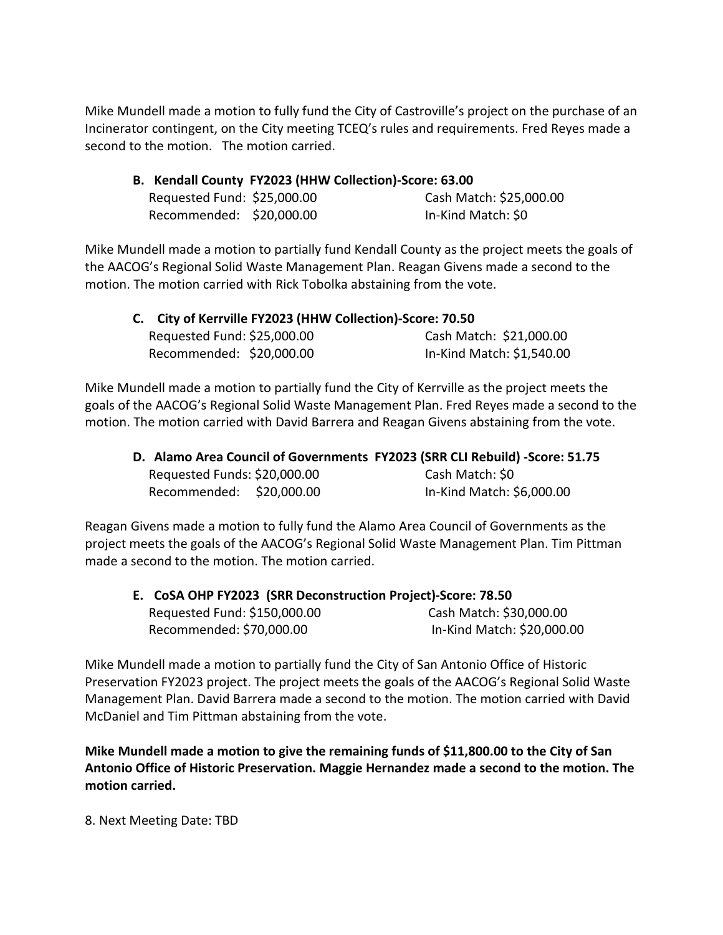Mike Mundell made a motion to fully fund the City of Castroville's project on the purchase of an Incinerator contingent, on the City meeting TCEQ's rules and requirements. Fred Reyes made a second to the motion. The motion carried.

|                             | B. Kendall County FY2023 (HHW Collection)-Score: 63.00 |                         |
|-----------------------------|--------------------------------------------------------|-------------------------|
| Requested Fund: \$25,000.00 |                                                        | Cash Match: \$25,000.00 |
| Recommended: \$20,000.00    |                                                        | In-Kind Match: \$0      |

Mike Mundell made a motion to partially fund Kendall County as the project meets the goals of the AACOG's Regional Solid Waste Management Plan. Reagan Givens made a second to the motion. The motion carried with Rick Tobolka abstaining from the vote.

| C. City of Kerrville FY2023 (HHW Collection)-Score: 70.50 |                           |
|-----------------------------------------------------------|---------------------------|
| Requested Fund: \$25,000.00                               | Cash Match: \$21,000.00   |
| Recommended: \$20,000.00                                  | In-Kind Match: \$1,540.00 |

Mike Mundell made a motion to partially fund the City of Kerrville as the project meets the goals of the AACOG's Regional Solid Waste Management Plan. Fred Reyes made a second to the motion. The motion carried with David Barrera and Reagan Givens abstaining from the vote.

|                              | D. Alamo Area Council of Governments FY2023 (SRR CLI Rebuild) -Score: 51.75 |  |
|------------------------------|-----------------------------------------------------------------------------|--|
| Requested Funds: \$20,000.00 | Cash Match: \$0                                                             |  |
| Recommended: \$20,000.00     | In-Kind Match: \$6,000.00                                                   |  |

Reagan Givens made a motion to fully fund the Alamo Area Council of Governments as the project meets the goals of the AACOG's Regional Solid Waste Management Plan. Tim Pittman made a second to the motion. The motion carried.

| E. CoSA OHP FY2023 (SRR Deconstruction Project)-Score: 78.50 |                            |
|--------------------------------------------------------------|----------------------------|
| Requested Fund: \$150,000.00                                 | Cash Match: \$30,000.00    |
| Recommended: \$70,000.00                                     | In-Kind Match: \$20,000.00 |

Mike Mundell made a motion to partially fund the City of San Antonio Office of Historic Preservation FY2023 project. The project meets the goals of the AACOG's Regional Solid Waste Management Plan. David Barrera made a second to the motion. The motion carried with David McDaniel and Tim Pittman abstaining from the vote.

**Mike Mundell made a motion to give the remaining funds of \$11,800.00 to the City of San Antonio Office of Historic Preservation. Maggie Hernandez made a second to the motion. The motion carried.**

8. Next Meeting Date: TBD